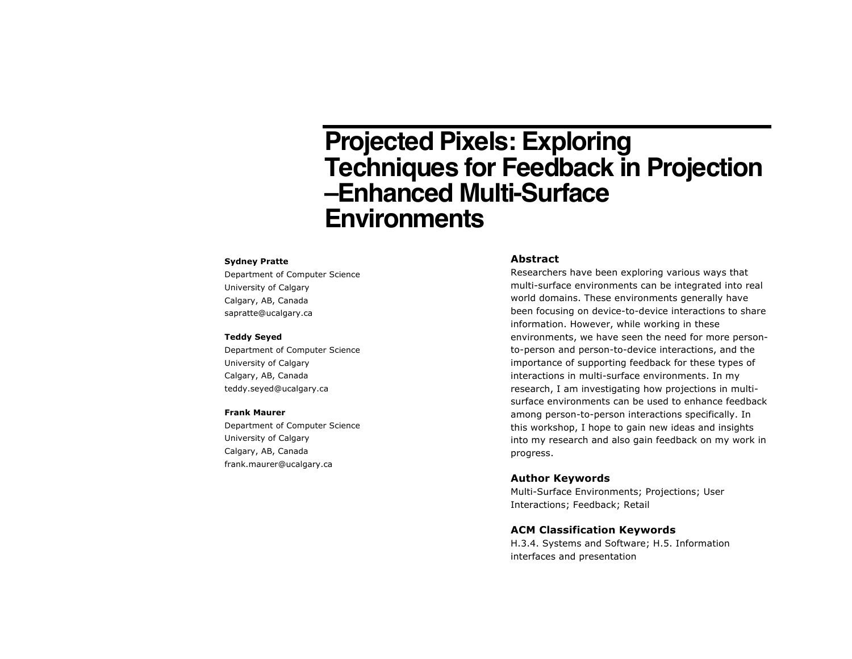# **Projected Pixels: Exploring Techniques for Feedback in Projection –Enhanced Multi-Surface Environments**

#### **Sydney Pratte**

Department of Computer Science University of Calgary Calgary, AB, Canada sapratte@ucalgary.ca

### **Teddy Seyed**

Department of Computer Science University of Calgary Calgary, AB, Canada teddy.seyed@ucalgary.ca

#### **Frank Maurer**

Department of Computer Science University of Calgary Calgary, AB, Canada frank.maurer@ucalgary.ca

## **Abstract**

Researchers have been exploring various ways that multi-surface environments can be integrated into real world domains. These environments generally have been focusing on device-to-device interactions to share information. However, while working in these environments, we have seen the need for more personto-person and person-to-device interactions, and the importance of supporting feedback for these types of interactions in multi-surface environments. In my research, I am investigating how projections in multisurface environments can be used to enhance feedback among person-to-person interactions specifically. In this workshop, I hope to gain new ideas and insights into my research and also gain feedback on my work in progress.

#### **Author Keywords**

Multi-Surface Environments; Projections; User Interactions; Feedback; Retail

## **ACM Classification Keywords**

H.3.4. Systems and Software; H.5. Information interfaces and presentation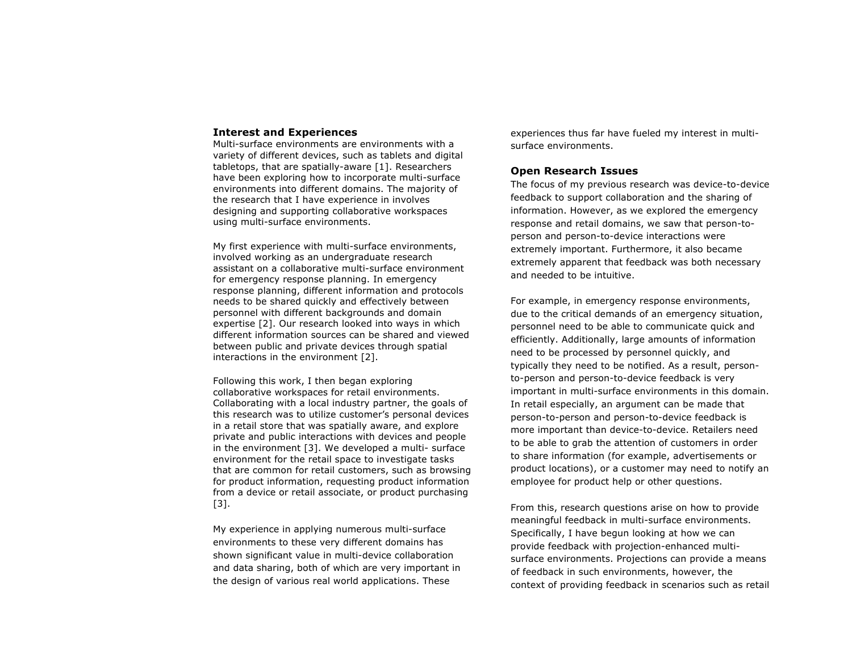## **Interest and Experiences**

Multi-surface environments are environments with a variety of different devices, such as tablets and digital tabletops, that are spatially-aware [1]. Researchers have been exploring how to incorporate multi-surface environments into different domains. The majority of the research that I have experience in involves designing and supporting collaborative workspaces using multi-surface environments.

My first experience with multi-surface environments, involved working as an undergraduate research assistant on a collaborative multi-surface environment for emergency response planning. In emergency response planning, different information and protocols needs to be shared quickly and effectively between personnel with different backgrounds and domain expertise [2]. Our research looked into ways in which different information sources can be shared and viewed between public and private devices through spatial interactions in the environment [2].

Following this work, I then began exploring collaborative workspaces for retail environments. Collaborating with a local industry partner, the goals of this research was to utilize customer's personal devices in a retail store that was spatially aware, and explore private and public interactions with devices and people in the environment [3]. We developed a multi- surface environment for the retail space to investigate tasks that are common for retail customers, such as browsing for product information, requesting product information from a device or retail associate, or product purchasing [3].

My experience in applying numerous multi-surface environments to these very different domains has shown significant value in multi-device collaboration and data sharing, both of which are very important in the design of various real world applications. These

experiences thus far have fueled my interest in multisurface environments.

# **Open Research Issues**

The focus of my previous research was device-to-device feedback to support collaboration and the sharing of information. However, as we explored the emergency response and retail domains, we saw that person-toperson and person-to-device interactions were extremely important. Furthermore, it also became extremely apparent that feedback was both necessary and needed to be intuitive.

For example, in emergency response environments, due to the critical demands of an emergency situation, personnel need to be able to communicate quick and efficiently. Additionally, large amounts of information need to be processed by personnel quickly, and typically they need to be notified. As a result, personto-person and person-to-device feedback is very important in multi-surface environments in this domain. In retail especially, an argument can be made that person-to-person and person-to-device feedback is more important than device-to-device. Retailers need to be able to grab the attention of customers in order to share information (for example, advertisements or product locations), or a customer may need to notify an employee for product help or other questions.

From this, research questions arise on how to provide meaningful feedback in multi-surface environments. Specifically, I have begun looking at how we can provide feedback with projection-enhanced multisurface environments. Projections can provide a means of feedback in such environments, however, the context of providing feedback in scenarios such as retail